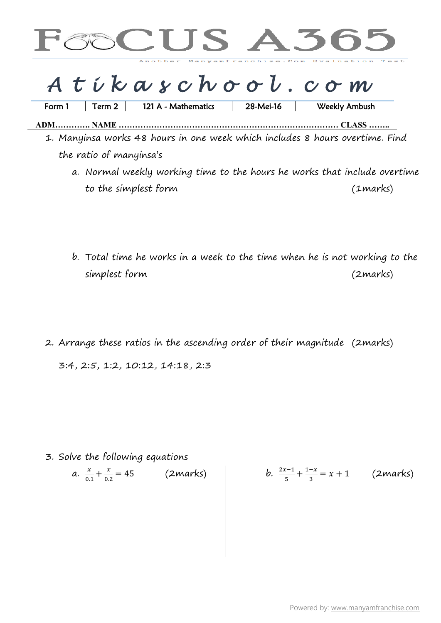## CUS A3

## *A t i k a s c h o o l . c o m*

| Form 1 | Term 2 | 121 A - Mathematics | 28-Mei-16 | Weekly Ambush |
|--------|--------|---------------------|-----------|---------------|
|--------|--------|---------------------|-----------|---------------|

- **ADM…………. NAME ……………………………………………………………………… CLASS ……..**
	- 1. Manyinsa works 48 hours in one week which includes 8 hours overtime. Find the ratio of manyinsa's
		- a. Normal weekly working time to the hours he works that include overtime to the simplest form (1marks)
		- b. Total time he works in a week to the time when he is not working to the simplest form (2marks)
	- 2. Arrange these ratios in the ascending order of their magnitude (2marks) 3:4, 2:5, 1:2, 10:12, 14:18, 2:3

3. Solve the following equations

a. 
$$
\frac{x}{0.1} + \frac{x}{0.2} = 45
$$
 (2marks) (2marks) (2marks)